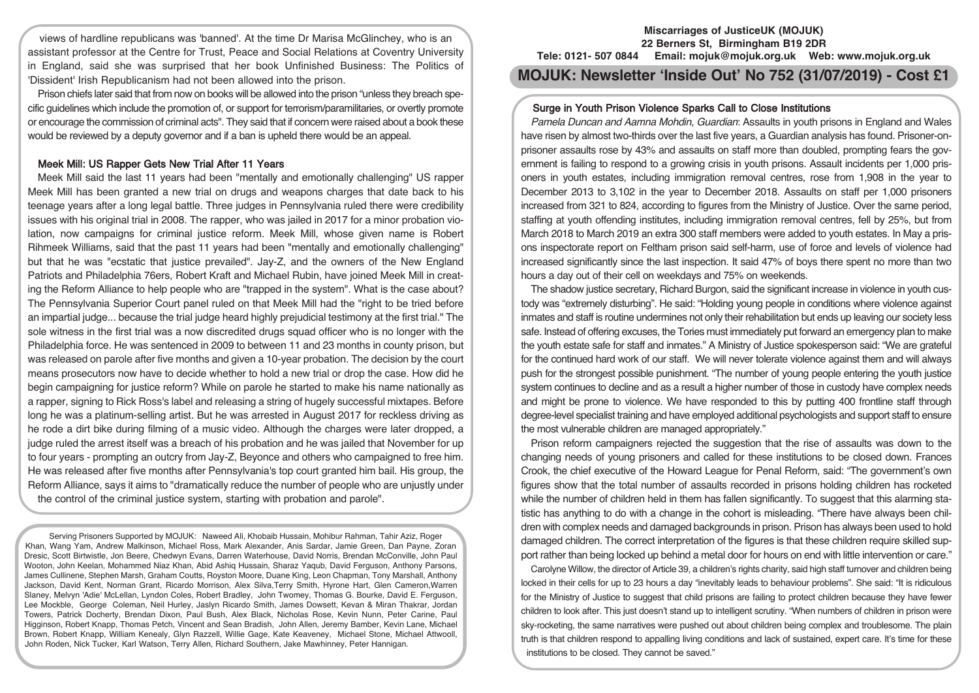views of hardline republicans was 'banned'. At the time Dr Marisa McGlinchey, who is an assistant professor at the Centre for Trust, Peace and Social Relations at Coventry University in England, said she was surprised that her book Unfinished Business: The Politics of 'Dissident' Irish Republicanism had not been allowed into the prison.

Prison chiefs later said that from now on books will be allowed into the prison "unless they breach specific guidelines which include the promotion of, or support for terrorism/paramilitaries, or overtly promote or encourage the commission of criminal acts". They said that if concern were raised about a book these would be reviewed by a deputy governor and if a ban is upheld there would be an appeal.

## Meek Mill: US Rapper Gets New Trial After 11 Years

Meek Mill said the last 11 years had been "mentally and emotionally challenging" US rapper Meek Mill has been granted a new trial on drugs and weapons charges that date back to his teenage years after a long legal battle. Three judges in Pennsylvania ruled there were credibility issues with his original trial in 2008. The rapper, who was jailed in 2017 for a minor probation violation, now campaigns for criminal justice reform. Meek Mill, whose given name is Robert Rihmeek Williams, said that the past 11 years had been "mentally and emotionally challenging" but that he was "ecstatic that justice prevailed". Jay-Z, and the owners of the New England Patriots and Philadelphia 76ers, Robert Kraft and Michael Rubin, have joined Meek Mill in creating the Reform Alliance to help people who are "trapped in the system". What is the case about? The Pennsylvania Superior Court panel ruled on that Meek Mill had the "right to be tried before an impartial judge... because the trial judge heard highly prejudicial testimony at the first trial." The sole witness in the first trial was a now discredited drugs squad officer who is no longer with the Philadelphia force. He was sentenced in 2009 to between 11 and 23 months in county prison, but was released on parole after five months and given a 10-year probation. The decision by the court means prosecutors now have to decide whether to hold a new trial or drop the case. How did he begin campaigning for justice reform? While on parole he started to make his name nationally as a rapper, signing to Rick Ross's label and releasing a string of hugely successful mixtapes. Before long he was a platinum-selling artist. But he was arrested in August 2017 for reckless driving as he rode a dirt bike during filming of a music video. Although the charges were later dropped, a judge ruled the arrest itself was a breach of his probation and he was jailed that November for up to four years - prompting an outcry from Jay-Z, Beyonce and others who campaigned to free him. He was released after five months after Pennsylvania's top court granted him bail. His group, the Reform Alliance, says it aims to "dramatically reduce the number of people who are unjustly under the control of the criminal justice system, starting with probation and parole".

Serving Prisoners Supported by MOJUK: Naweed Ali, Khobaib Hussain, Mohibur Rahman, Tahir Aziz, Roger Khan, Wang Yam, Andrew Malkinson, Michael Ross, Mark Alexander, Anis Sardar, Jamie Green, Dan Payne, Zoran Dresic, Scott Birtwistle, Jon Beere, Chedwyn Evans, Darren Waterhouse, David Norris, Brendan McConville, John Paul Wooton, John Keelan, Mohammed Niaz Khan, Abid Ashiq Hussain, Sharaz Yaqub, David Ferguson, Anthony Parsons, James Cullinene, Stephen Marsh, Graham Coutts, Royston Moore, Duane King, Leon Chapman, Tony Marshall, Anthony Jackson, David Kent, Norman Grant, Ricardo Morrison, Alex Silva,Terry Smith, Hyrone Hart, Glen Cameron,Warren Slaney, Melvyn 'Adie' McLellan, Lyndon Coles, Robert Bradley, John Twomey, Thomas G. Bourke, David E. Ferguson, Lee Mockble, George Coleman, Neil Hurley, Jaslyn Ricardo Smith, James Dowsett, Kevan & Miran Thakrar, Jordan Towers, Patrick Docherty, Brendan Dixon, Paul Bush, Alex Black, Nicholas Rose, Kevin Nunn, Peter Carine, Paul Higginson, Robert Knapp, Thomas Petch, Vincent and Sean Bradish, John Allen, Jeremy Bamber, Kevin Lane, Michael Brown, Robert Knapp, William Kenealy, Glyn Razzell, Willie Gage, Kate Keaveney, Michael Stone, Michael Attwooll, John Roden, Nick Tucker, Karl Watson, Terry Allen, Richard Southern, Jake Mawhinney, Peter Hannigan.

#### **Miscarriages of JusticeUK (MOJUK) 22 Berners St, Birmingham B19 2DR Tele: 0121- 507 0844 Email: mojuk@mojuk.org.uk Web: www.mojuk.org.uk**

# **MOJUK: Newsletter 'Inside Out' No 752 (31/07/2019) - Cost £1**

# Surge in Youth Prison Violence Sparks Call to Close Institutions

Pamela Duncan and Aamna Mohdin, Guardian: Assaults in youth prisons in England and Wales have risen by almost two-thirds over the last five years, a Guardian analysis has found. Prisoner-onprisoner assaults rose by 43% and assaults on staff more than doubled, prompting fears the government is failing to respond to a growing crisis in youth prisons. Assault incidents per 1,000 prisoners in youth estates, including immigration removal centres, rose from 1,908 in the year to December 2013 to 3,102 in the year to December 2018. Assaults on staff per 1,000 prisoners increased from 321 to 824, according to figures from the Ministry of Justice. Over the same period, staffing at youth offending institutes, including immigration removal centres, fell by 25%, but from March 2018 to March 2019 an extra 300 staff members were added to youth estates. In May a prisons inspectorate report on Feltham prison said self-harm, use of force and levels of violence had increased significantly since the last inspection. It said 47% of boys there spent no more than two hours a day out of their cell on weekdays and 75% on weekends.

The shadow justice secretary, Richard Burgon, said the significant increase in violence in youth custody was "extremely disturbing". He said: "Holding young people in conditions where violence against inmates and staff is routine undermines not only their rehabilitation but ends up leaving our society less safe. Instead of offering excuses, the Tories must immediately put forward an emergency plan to make the youth estate safe for staff and inmates." A Ministry of Justice spokesperson said: "We are grateful for the continued hard work of our staff. We will never tolerate violence against them and will always push for the strongest possible punishment. "The number of young people entering the youth justice system continues to decline and as a result a higher number of those in custody have complex needs and might be prone to violence. We have responded to this by putting 400 frontline staff through degree-level specialist training and have employed additional psychologists and support staff to ensure the most vulnerable children are managed appropriately."

Prison reform campaigners rejected the suggestion that the rise of assaults was down to the changing needs of young prisoners and called for these institutions to be closed down. Frances Crook, the chief executive of the Howard League for Penal Reform, said: "The government's own figures show that the total number of assaults recorded in prisons holding children has rocketed while the number of children held in them has fallen significantly. To suggest that this alarming statistic has anything to do with a change in the cohort is misleading. "There have always been children with complex needs and damaged backgrounds in prison. Prison has always been used to hold damaged children. The correct interpretation of the figures is that these children require skilled support rather than being locked up behind a metal door for hours on end with little intervention or care."

Carolyne Willow, the director of Article 39, a children's rights charity, said high staff turnover and children being locked in their cells for up to 23 hours a day "inevitably leads to behaviour problems". She said: "It is ridiculous for the Ministry of Justice to suggest that child prisons are failing to protect children because they have fewer children to look after. This just doesn't stand up to intelligent scrutiny. "When numbers of children in prison were sky-rocketing, the same narratives were pushed out about children being complex and troublesome. The plain truth is that children respond to appalling living conditions and lack of sustained, expert care. It's time for these institutions to be closed. They cannot be saved."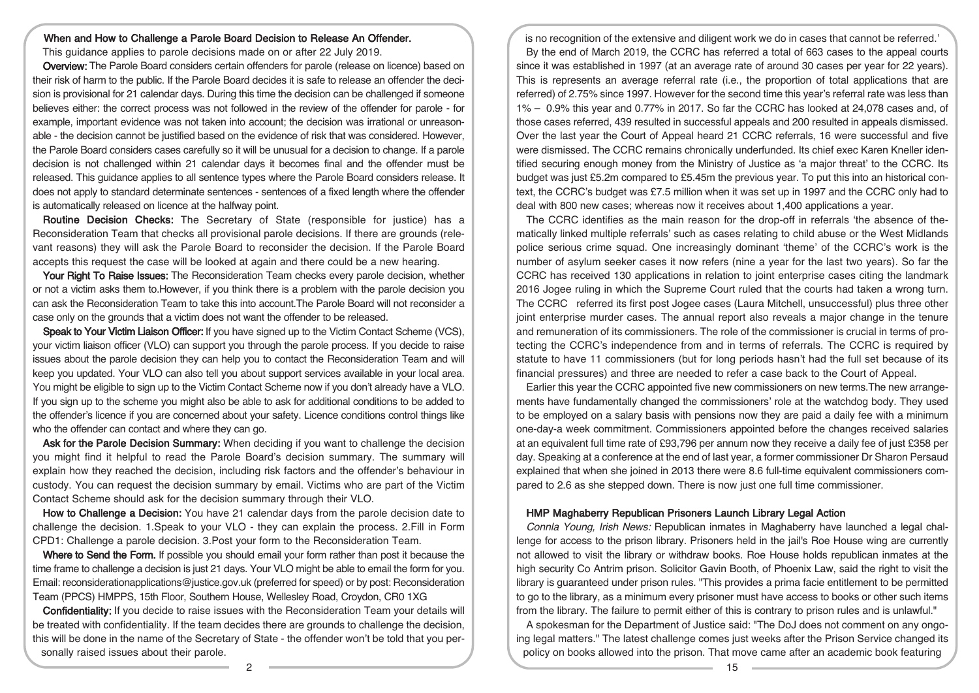## When and How to Challenge a Parole Board Decision to Release An Offender.

This guidance applies to parole decisions made on or after 22 July 2019.

Overview: The Parole Board considers certain offenders for parole (release on licence) based on their risk of harm to the public. If the Parole Board decides it is safe to release an offender the decision is provisional for 21 calendar days. During this time the decision can be challenged if someone believes either: the correct process was not followed in the review of the offender for parole - for example, important evidence was not taken into account; the decision was irrational or unreasonable - the decision cannot be justified based on the evidence of risk that was considered. However, the Parole Board considers cases carefully so it will be unusual for a decision to change. If a parole decision is not challenged within 21 calendar days it becomes final and the offender must be released. This guidance applies to all sentence types where the Parole Board considers release. It does not apply to standard determinate sentences - sentences of a fixed length where the offender is automatically released on licence at the halfway point.

Routine Decision Checks: The Secretary of State (responsible for justice) has a Reconsideration Team that checks all provisional parole decisions. If there are grounds (relevant reasons) they will ask the Parole Board to reconsider the decision. If the Parole Board accepts this request the case will be looked at again and there could be a new hearing.

Your Right To Raise Issues: The Reconsideration Team checks every parole decision, whether or not a victim asks them to.However, if you think there is a problem with the parole decision you can ask the Reconsideration Team to take this into account.The Parole Board will not reconsider a case only on the grounds that a victim does not want the offender to be released.

Speak to Your Victim Liaison Officer: If you have signed up to the Victim Contact Scheme (VCS), your victim liaison officer (VLO) can support you through the parole process. If you decide to raise issues about the parole decision they can help you to contact the Reconsideration Team and will keep you updated. Your VLO can also tell you about support services available in your local area. You might be eligible to sign up to the Victim Contact Scheme now if you don't already have a VLO. If you sign up to the scheme you might also be able to ask for additional conditions to be added to the offender's licence if you are concerned about your safety. Licence conditions control things like who the offender can contact and where they can go.

Ask for the Parole Decision Summary: When deciding if you want to challenge the decision you might find it helpful to read the Parole Board's decision summary. The summary will explain how they reached the decision, including risk factors and the offender's behaviour in custody. You can request the decision summary by email. Victims who are part of the Victim Contact Scheme should ask for the decision summary through their VLO.

How to Challenge a Decision: You have 21 calendar days from the parole decision date to challenge the decision. 1.Speak to your VLO - they can explain the process. 2.Fill in Form CPD1: Challenge a parole decision. 3.Post your form to the Reconsideration Team.

Where to Send the Form. If possible you should email your form rather than post it because the time frame to challenge a decision is just 21 days. Your VLO might be able to email the form for you. Email: reconsiderationapplications@justice.gov.uk (preferred for speed) or by post: Reconsideration Team (PPCS) HMPPS, 15th Floor, Southern House, Wellesley Road, Croydon, CR0 1XG

Confidentiality: If you decide to raise issues with the Reconsideration Team your details will be treated with confidentiality. If the team decides there are grounds to challenge the decision, this will be done in the name of the Secretary of State - the offender won't be told that you personally raised issues about their parole.

is no recognition of the extensive and diligent work we do in cases that cannot be referred.' By the end of March 2019, the CCRC has referred a total of 663 cases to the appeal courts since it was established in 1997 (at an average rate of around 30 cases per year for 22 years). This is represents an average referral rate (i.e., the proportion of total applications that are referred) of 2.75% since 1997. However for the second time this year's referral rate was less than 1% – 0.9% this year and 0.77% in 2017. So far the CCRC has looked at 24,078 cases and, of those cases referred, 439 resulted in successful appeals and 200 resulted in appeals dismissed. Over the last year the Court of Appeal heard 21 CCRC referrals, 16 were successful and five were dismissed. The CCRC remains chronically underfunded. Its chief exec Karen Kneller identified securing enough money from the Ministry of Justice as 'a major threat' to the CCRC. Its budget was just £5.2m compared to £5.45m the previous year. To put this into an historical context, the CCRC's budget was £7.5 million when it was set up in 1997 and the CCRC only had to deal with 800 new cases; whereas now it receives about 1,400 applications a year.

The CCRC identifies as the main reason for the drop-off in referrals 'the absence of thematically linked multiple referrals' such as cases relating to child abuse or the West Midlands police serious crime squad. One increasingly dominant 'theme' of the CCRC's work is the number of asylum seeker cases it now refers (nine a year for the last two years). So far the CCRC has received 130 applications in relation to joint enterprise cases citing the landmark 2016 Jogee ruling in which the Supreme Court ruled that the courts had taken a wrong turn. The CCRC referred its first post Jogee cases (Laura Mitchell, unsuccessful) plus three other joint enterprise murder cases. The annual report also reveals a major change in the tenure and remuneration of its commissioners. The role of the commissioner is crucial in terms of protecting the CCRC's independence from and in terms of referrals. The CCRC is required by statute to have 11 commissioners (but for long periods hasn't had the full set because of its financial pressures) and three are needed to refer a case back to the Court of Appeal.

Earlier this year the CCRC appointed five new commissioners on new terms.The new arrangements have fundamentally changed the commissioners' role at the watchdog body. They used to be employed on a salary basis with pensions now they are paid a daily fee with a minimum one-day-a week commitment. Commissioners appointed before the changes received salaries at an equivalent full time rate of £93,796 per annum now they receive a daily fee of just £358 per day. Speaking at a conference at the end of last year, a former commissioner Dr Sharon Persaud explained that when she joined in 2013 there were 8.6 full-time equivalent commissioners compared to 2.6 as she stepped down. There is now just one full time commissioner.

## HMP Maghaberry Republican Prisoners Launch Library Legal Action

Connla Young, Irish News: Republican inmates in Maghaberry have launched a legal challenge for access to the prison library. Prisoners held in the jail's Roe House wing are currently not allowed to visit the library or withdraw books. Roe House holds republican inmates at the high security Co Antrim prison. Solicitor Gavin Booth, of Phoenix Law, said the right to visit the library is guaranteed under prison rules. "This provides a prima facie entitlement to be permitted to go to the library, as a minimum every prisoner must have access to books or other such items from the library. The failure to permit either of this is contrary to prison rules and is unlawful."

A spokesman for the Department of Justice said: "The DoJ does not comment on any ongoing legal matters." The latest challenge comes just weeks after the Prison Service changed its policy on books allowed into the prison. That move came after an academic book featuring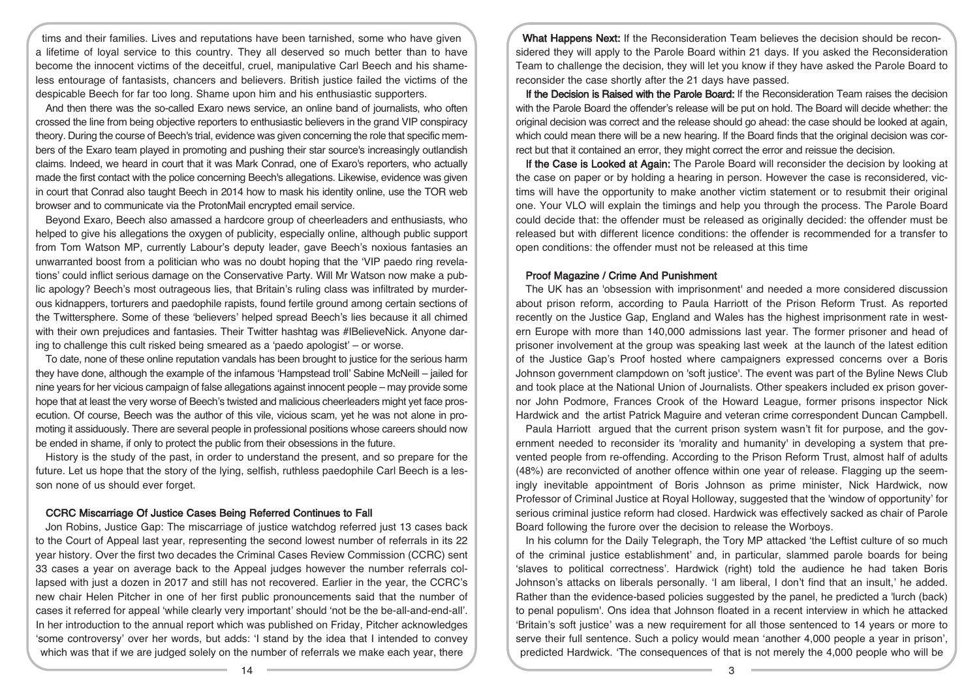tims and their families. Lives and reputations have been tarnished, some who have given a lifetime of loyal service to this country. They all deserved so much better than to have become the innocent victims of the deceitful, cruel, manipulative Carl Beech and his shameless entourage of fantasists, chancers and believers. British justice failed the victims of the despicable Beech for far too long. Shame upon him and his enthusiastic supporters.

And then there was the so-called Exaro news service, an online band of journalists, who often crossed the line from being objective reporters to enthusiastic believers in the grand VIP conspiracy theory. During the course of Beech's trial, evidence was given concerning the role that specific members of the Exaro team played in promoting and pushing their star source's increasingly outlandish claims. Indeed, we heard in court that it was Mark Conrad, one of Exaro's reporters, who actually made the first contact with the police concerning Beech's allegations. Likewise, evidence was given in court that Conrad also taught Beech in 2014 how to mask his identity online, use the TOR web browser and to communicate via the ProtonMail encrypted email service.

Beyond Exaro, Beech also amassed a hardcore group of cheerleaders and enthusiasts, who helped to give his allegations the oxygen of publicity, especially online, although public support from Tom Watson MP, currently Labour's deputy leader, gave Beech's noxious fantasies an unwarranted boost from a politician who was no doubt hoping that the 'VIP paedo ring revelations' could inflict serious damage on the Conservative Party. Will Mr Watson now make a public apology? Beech's most outrageous lies, that Britain's ruling class was infiltrated by murderous kidnappers, torturers and paedophile rapists, found fertile ground among certain sections of the Twittersphere. Some of these 'believers' helped spread Beech's lies because it all chimed with their own prejudices and fantasies. Their Twitter hashtag was #IBelieveNick. Anyone daring to challenge this cult risked being smeared as a 'paedo apologist' – or worse.

To date, none of these online reputation vandals has been brought to justice for the serious harm they have done, although the example of the infamous 'Hampstead troll' Sabine McNeill – jailed for nine years for her vicious campaign of false allegations against innocent people – may provide some hope that at least the very worse of Beech's twisted and malicious cheerleaders might yet face prosecution. Of course, Beech was the author of this vile, vicious scam, yet he was not alone in promoting it assiduously. There are several people in professional positions whose careers should now be ended in shame, if only to protect the public from their obsessions in the future.

History is the study of the past, in order to understand the present, and so prepare for the future. Let us hope that the story of the lying, selfish, ruthless paedophile Carl Beech is a lesson none of us should ever forget.

#### CCRC Miscarriage Of Justice Cases Being Referred Continues to Fall

Jon Robins, Justice Gap: The miscarriage of justice watchdog referred just 13 cases back to the Court of Appeal last year, representing the second lowest number of referrals in its 22 year history. Over the first two decades the Criminal Cases Review Commission (CCRC) sent 33 cases a year on average back to the Appeal judges however the number referrals collapsed with just a dozen in 2017 and still has not recovered. Earlier in the year, the CCRC's new chair Helen Pitcher in one of her first public pronouncements said that the number of cases it referred for appeal 'while clearly very important' should 'not be the be-all-and-end-all'. In her introduction to the annual report which was published on Friday, Pitcher acknowledges 'some controversy' over her words, but adds: 'I stand by the idea that I intended to convey which was that if we are judged solely on the number of referrals we make each year, there

What Happens Next: If the Reconsideration Team believes the decision should be reconsidered they will apply to the Parole Board within 21 days. If you asked the Reconsideration Team to challenge the decision, they will let you know if they have asked the Parole Board to reconsider the case shortly after the 21 days have passed.

If the Decision is Raised with the Parole Board: If the Reconsideration Team raises the decision with the Parole Board the offender's release will be put on hold. The Board will decide whether: the original decision was correct and the release should go ahead: the case should be looked at again, which could mean there will be a new hearing. If the Board finds that the original decision was correct but that it contained an error, they might correct the error and reissue the decision.

If the Case is Looked at Again: The Parole Board will reconsider the decision by looking at the case on paper or by holding a hearing in person. However the case is reconsidered, victims will have the opportunity to make another victim statement or to resubmit their original one. Your VLO will explain the timings and help you through the process. The Parole Board could decide that: the offender must be released as originally decided: the offender must be released but with different licence conditions: the offender is recommended for a transfer to open conditions: the offender must not be released at this time

### Proof Magazine / Crime And Punishment

The UK has an 'obsession with imprisonment' and needed a more considered discussion about prison reform, according to Paula Harriott of the Prison Reform Trust. As reported recently on the Justice Gap, England and Wales has the highest imprisonment rate in western Europe with more than 140,000 admissions last year. The former prisoner and head of prisoner involvement at the group was speaking last week at the launch of the latest edition of the Justice Gap's Proof hosted where campaigners expressed concerns over a Boris Johnson government clampdown on 'soft justice'. The event was part of the Byline News Club and took place at the National Union of Journalists. Other speakers included ex prison governor John Podmore, Frances Crook of the Howard League, former prisons inspector Nick Hardwick and the artist Patrick Maguire and veteran crime correspondent Duncan Campbell.

Paula Harriott argued that the current prison system wasn't fit for purpose, and the government needed to reconsider its 'morality and humanity' in developing a system that prevented people from re-offending. According to the Prison Reform Trust, almost half of adults (48%) are reconvicted of another offence within one year of release. Flagging up the seemingly inevitable appointment of Boris Johnson as prime minister, Nick Hardwick, now Professor of Criminal Justice at Royal Holloway, suggested that the 'window of opportunity' for serious criminal justice reform had closed. Hardwick was effectively sacked as chair of Parole Board following the furore over the decision to release the Worboys.

In his column for the Daily Telegraph, the Tory MP attacked 'the Leftist culture of so much of the criminal justice establishment' and, in particular, slammed parole boards for being 'slaves to political correctness'. Hardwick (right) told the audience he had taken Boris Johnson's attacks on liberals personally. 'I am liberal, I don't find that an insult,' he added. Rather than the evidence-based policies suggested by the panel, he predicted a 'lurch (back) to penal populism'. Ons idea that Johnson floated in a recent interview in which he attacked 'Britain's soft justice' was a new requirement for all those sentenced to 14 years or more to serve their full sentence. Such a policy would mean 'another 4,000 people a year in prison', predicted Hardwick. 'The consequences of that is not merely the 4,000 people who will be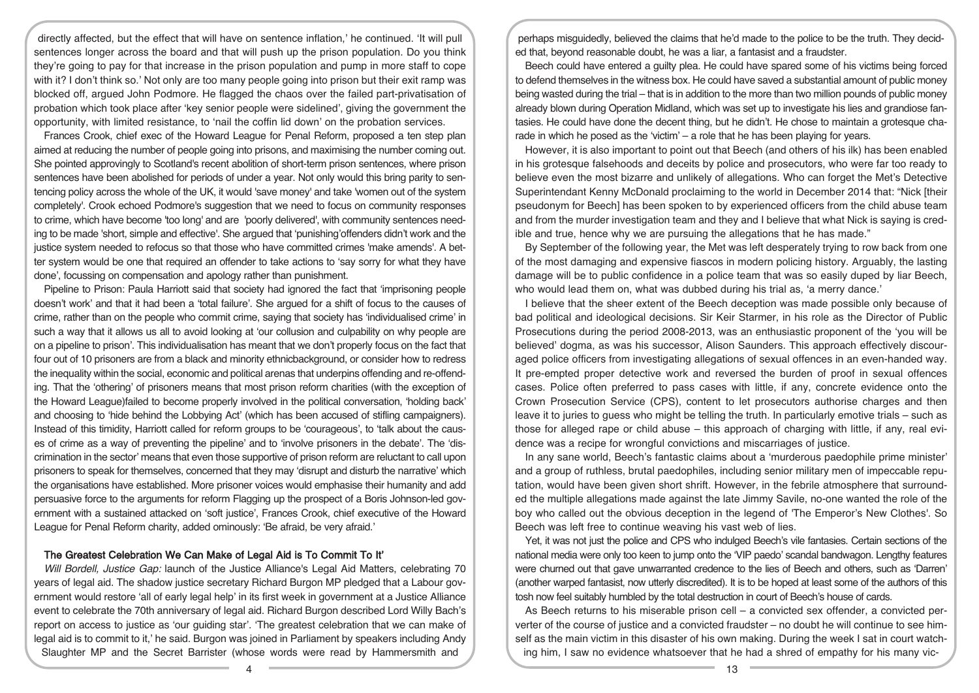directly affected, but the effect that will have on sentence inflation,' he continued. 'It will pull sentences longer across the board and that will push up the prison population. Do you think they're going to pay for that increase in the prison population and pump in more staff to cope with it? I don't think so.' Not only are too many people going into prison but their exit ramp was blocked off, argued John Podmore. He flagged the chaos over the failed part-privatisation of probation which took place after 'key senior people were sidelined', giving the government the opportunity, with limited resistance, to 'nail the coffin lid down' on the probation services.

Frances Crook, chief exec of the Howard League for Penal Reform, proposed a ten step plan aimed at reducing the number of people going into prisons, and maximising the number coming out. She pointed approvingly to Scotland's recent abolition of short-term prison sentences, where prison sentences have been abolished for periods of under a year. Not only would this bring parity to sentencing policy across the whole of the UK, it would 'save money' and take 'women out of the system completely'. Crook echoed Podmore's suggestion that we need to focus on community responses to crime, which have become 'too long' and are 'poorly delivered', with community sentences needing to be made 'short, simple and effective'. She argued that 'punishing'offenders didn't work and the justice system needed to refocus so that those who have committed crimes 'make amends'. A better system would be one that required an offender to take actions to 'say sorry for what they have done', focussing on compensation and apology rather than punishment.

Pipeline to Prison: Paula Harriott said that society had ignored the fact that 'imprisoning people doesn't work' and that it had been a 'total failure'. She argued for a shift of focus to the causes of crime, rather than on the people who commit crime, saying that society has 'individualised crime' in such a way that it allows us all to avoid looking at 'our collusion and culpability on why people are on a pipeline to prison'. This individualisation has meant that we don't properly focus on the fact that four out of 10 prisoners are from a black and minority ethnicbackground, or consider how to redress the inequality within the social, economic and political arenas that underpins offending and re-offending. That the 'othering' of prisoners means that most prison reform charities (with the exception of the Howard League)failed to become properly involved in the political conversation, 'holding back' and choosing to 'hide behind the Lobbying Act' (which has been accused of stifling campaigners). Instead of this timidity, Harriott called for reform groups to be 'courageous', to 'talk about the causes of crime as a way of preventing the pipeline' and to 'involve prisoners in the debate'. The 'discrimination in the sector' means that even those supportive of prison reform are reluctant to call upon prisoners to speak for themselves, concerned that they may 'disrupt and disturb the narrative' which the organisations have established. More prisoner voices would emphasise their humanity and add persuasive force to the arguments for reform Flagging up the prospect of a Boris Johnson-led government with a sustained attacked on 'soft justice', Frances Crook, chief executive of the Howard League for Penal Reform charity, added ominously: 'Be afraid, be very afraid.'

#### The Greatest Celebration We Can Make of Legal Aid is To Commit To It'

Will Bordell, Justice Gap: launch of the Justice Alliance's Legal Aid Matters, celebrating 70 years of legal aid. The shadow justice secretary Richard Burgon MP pledged that a Labour government would restore 'all of early legal help' in its first week in government at a Justice Alliance event to celebrate the 70th anniversary of legal aid. Richard Burgon described Lord Willy Bach's report on access to justice as 'our guiding star'. 'The greatest celebration that we can make of legal aid is to commit to it,' he said. Burgon was joined in Parliament by speakers including Andy Slaughter MP and the Secret Barrister (whose words were read by Hammersmith and

perhaps misguidedly, believed the claims that he'd made to the police to be the truth. They decided that, beyond reasonable doubt, he was a liar, a fantasist and a fraudster.

Beech could have entered a guilty plea. He could have spared some of his victims being forced to defend themselves in the witness box. He could have saved a substantial amount of public money being wasted during the trial – that is in addition to the more than two million pounds of public money already blown during Operation Midland, which was set up to investigate his lies and grandiose fantasies. He could have done the decent thing, but he didn't. He chose to maintain a grotesque charade in which he posed as the 'victim' – a role that he has been playing for years.

However, it is also important to point out that Beech (and others of his ilk) has been enabled in his grotesque falsehoods and deceits by police and prosecutors, who were far too ready to believe even the most bizarre and unlikely of allegations. Who can forget the Met's Detective Superintendant Kenny McDonald proclaiming to the world in December 2014 that: "Nick [their pseudonym for Beech] has been spoken to by experienced officers from the child abuse team and from the murder investigation team and they and I believe that what Nick is saying is credible and true, hence why we are pursuing the allegations that he has made."

By September of the following year, the Met was left desperately trying to row back from one of the most damaging and expensive fiascos in modern policing history. Arguably, the lasting damage will be to public confidence in a police team that was so easily duped by liar Beech, who would lead them on, what was dubbed during his trial as, 'a merry dance.'

I believe that the sheer extent of the Beech deception was made possible only because of bad political and ideological decisions. Sir Keir Starmer, in his role as the Director of Public Prosecutions during the period 2008-2013, was an enthusiastic proponent of the 'you will be believed' dogma, as was his successor, Alison Saunders. This approach effectively discouraged police officers from investigating allegations of sexual offences in an even-handed way. It pre-empted proper detective work and reversed the burden of proof in sexual offences cases. Police often preferred to pass cases with little, if any, concrete evidence onto the Crown Prosecution Service (CPS), content to let prosecutors authorise charges and then leave it to juries to guess who might be telling the truth. In particularly emotive trials – such as those for alleged rape or child abuse – this approach of charging with little, if any, real evidence was a recipe for wrongful convictions and miscarriages of justice.

In any sane world, Beech's fantastic claims about a 'murderous paedophile prime minister' and a group of ruthless, brutal paedophiles, including senior military men of impeccable reputation, would have been given short shrift. However, in the febrile atmosphere that surrounded the multiple allegations made against the late Jimmy Savile, no-one wanted the role of the boy who called out the obvious deception in the legend of 'The Emperor's New Clothes'. So Beech was left free to continue weaving his vast web of lies.

Yet, it was not just the police and CPS who indulged Beech's vile fantasies. Certain sections of the national media were only too keen to jump onto the 'VIP paedo' scandal bandwagon. Lengthy features were churned out that gave unwarranted credence to the lies of Beech and others, such as 'Darren' (another warped fantasist, now utterly discredited). It is to be hoped at least some of the authors of this tosh now feel suitably humbled by the total destruction in court of Beech's house of cards.

As Beech returns to his miserable prison cell – a convicted sex offender, a convicted perverter of the course of justice and a convicted fraudster – no doubt he will continue to see himself as the main victim in this disaster of his own making. During the week I sat in court watching him, I saw no evidence whatsoever that he had a shred of empathy for his many vic-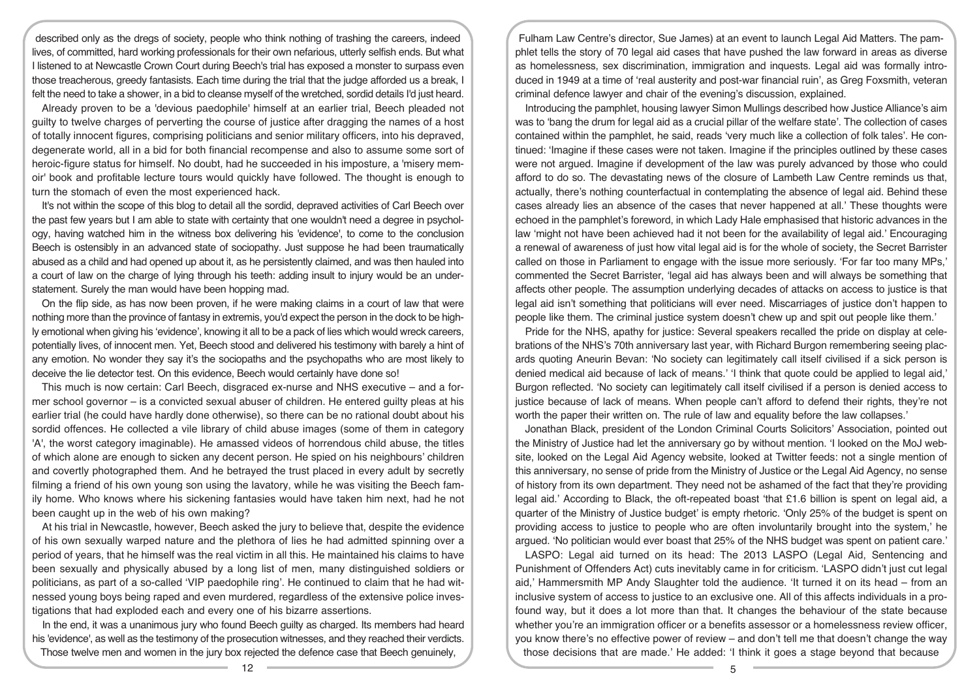described only as the dregs of society, people who think nothing of trashing the careers, indeed lives, of committed, hard working professionals for their own nefarious, utterly selfish ends. But what I listened to at Newcastle Crown Court during Beech's trial has exposed a monster to surpass even those treacherous, greedy fantasists. Each time during the trial that the judge afforded us a break, I felt the need to take a shower, in a bid to cleanse myself of the wretched, sordid details I'd just heard.

Already proven to be a 'devious paedophile' himself at an earlier trial, Beech pleaded not guilty to twelve charges of perverting the course of justice after dragging the names of a host of totally innocent figures, comprising politicians and senior military officers, into his depraved, degenerate world, all in a bid for both financial recompense and also to assume some sort of heroic-figure status for himself. No doubt, had he succeeded in his imposture, a 'misery memoir' book and profitable lecture tours would quickly have followed. The thought is enough to turn the stomach of even the most experienced hack.

It's not within the scope of this blog to detail all the sordid, depraved activities of Carl Beech over the past few years but I am able to state with certainty that one wouldn't need a degree in psychology, having watched him in the witness box delivering his 'evidence', to come to the conclusion Beech is ostensibly in an advanced state of sociopathy. Just suppose he had been traumatically abused as a child and had opened up about it, as he persistently claimed, and was then hauled into a court of law on the charge of lying through his teeth: adding insult to injury would be an understatement. Surely the man would have been hopping mad.

On the flip side, as has now been proven, if he were making claims in a court of law that were nothing more than the province of fantasy in extremis, you'd expect the person in the dock to be highly emotional when giving his 'evidence', knowing it all to be a pack of lies which would wreck careers, potentially lives, of innocent men. Yet, Beech stood and delivered his testimony with barely a hint of any emotion. No wonder they say it's the sociopaths and the psychopaths who are most likely to deceive the lie detector test. On this evidence, Beech would certainly have done so!

This much is now certain: Carl Beech, disgraced ex-nurse and NHS executive – and a former school governor – is a convicted sexual abuser of children. He entered guilty pleas at his earlier trial (he could have hardly done otherwise), so there can be no rational doubt about his sordid offences. He collected a vile library of child abuse images (some of them in category 'A', the worst category imaginable). He amassed videos of horrendous child abuse, the titles of which alone are enough to sicken any decent person. He spied on his neighbours' children and covertly photographed them. And he betrayed the trust placed in every adult by secretly filming a friend of his own young son using the lavatory, while he was visiting the Beech family home. Who knows where his sickening fantasies would have taken him next, had he not been caught up in the web of his own making?

At his trial in Newcastle, however, Beech asked the jury to believe that, despite the evidence of his own sexually warped nature and the plethora of lies he had admitted spinning over a period of years, that he himself was the real victim in all this. He maintained his claims to have been sexually and physically abused by a long list of men, many distinguished soldiers or politicians, as part of a so-called 'VIP paedophile ring'. He continued to claim that he had witnessed young boys being raped and even murdered, regardless of the extensive police investigations that had exploded each and every one of his bizarre assertions.

In the end, it was a unanimous jury who found Beech guilty as charged. Its members had heard his 'evidence', as well as the testimony of the prosecution witnesses, and they reached their verdicts. Those twelve men and women in the jury box rejected the defence case that Beech genuinely,

Fulham Law Centre's director, Sue James) at an event to launch Legal Aid Matters. The pamphlet tells the story of 70 legal aid cases that have pushed the law forward in areas as diverse as homelessness, sex discrimination, immigration and inquests. Legal aid was formally introduced in 1949 at a time of 'real austerity and post-war financial ruin', as Greg Foxsmith, veteran criminal defence lawyer and chair of the evening's discussion, explained.

Introducing the pamphlet, housing lawyer Simon Mullings described how Justice Alliance's aim was to 'bang the drum for legal aid as a crucial pillar of the welfare state'. The collection of cases contained within the pamphlet, he said, reads 'very much like a collection of folk tales'. He continued: 'Imagine if these cases were not taken. Imagine if the principles outlined by these cases were not argued. Imagine if development of the law was purely advanced by those who could afford to do so. The devastating news of the closure of Lambeth Law Centre reminds us that, actually, there's nothing counterfactual in contemplating the absence of legal aid. Behind these cases already lies an absence of the cases that never happened at all.' These thoughts were echoed in the pamphlet's foreword, in which Lady Hale emphasised that historic advances in the law 'might not have been achieved had it not been for the availability of legal aid.' Encouraging a renewal of awareness of just how vital legal aid is for the whole of society, the Secret Barrister called on those in Parliament to engage with the issue more seriously. 'For far too many MPs,' commented the Secret Barrister, 'legal aid has always been and will always be something that affects other people. The assumption underlying decades of attacks on access to justice is that legal aid isn't something that politicians will ever need. Miscarriages of justice don't happen to people like them. The criminal justice system doesn't chew up and spit out people like them.'

Pride for the NHS, apathy for justice: Several speakers recalled the pride on display at celebrations of the NHS's 70th anniversary last year, with Richard Burgon remembering seeing placards quoting Aneurin Bevan: 'No society can legitimately call itself civilised if a sick person is denied medical aid because of lack of means.' 'I think that quote could be applied to legal aid,' Burgon reflected. 'No society can legitimately call itself civilised if a person is denied access to justice because of lack of means. When people can't afford to defend their rights, they're not worth the paper their written on. The rule of law and equality before the law collapses.'

Jonathan Black, president of the London Criminal Courts Solicitors' Association, pointed out the Ministry of Justice had let the anniversary go by without mention. 'I looked on the MoJ website, looked on the Legal Aid Agency website, looked at Twitter feeds: not a single mention of this anniversary, no sense of pride from the Ministry of Justice or the Legal Aid Agency, no sense of history from its own department. They need not be ashamed of the fact that they're providing legal aid.' According to Black, the oft-repeated boast 'that £1.6 billion is spent on legal aid, a quarter of the Ministry of Justice budget' is empty rhetoric. 'Only 25% of the budget is spent on providing access to justice to people who are often involuntarily brought into the system,' he argued. 'No politician would ever boast that 25% of the NHS budget was spent on patient care.'

LASPO: Legal aid turned on its head: The 2013 LASPO (Legal Aid, Sentencing and Punishment of Offenders Act) cuts inevitably came in for criticism. 'LASPO didn't just cut legal aid,' Hammersmith MP Andy Slaughter told the audience. 'It turned it on its head – from an inclusive system of access to justice to an exclusive one. All of this affects individuals in a profound way, but it does a lot more than that. It changes the behaviour of the state because whether you're an immigration officer or a benefits assessor or a homelessness review officer, you know there's no effective power of review – and don't tell me that doesn't change the way those decisions that are made.' He added: 'I think it goes a stage beyond that because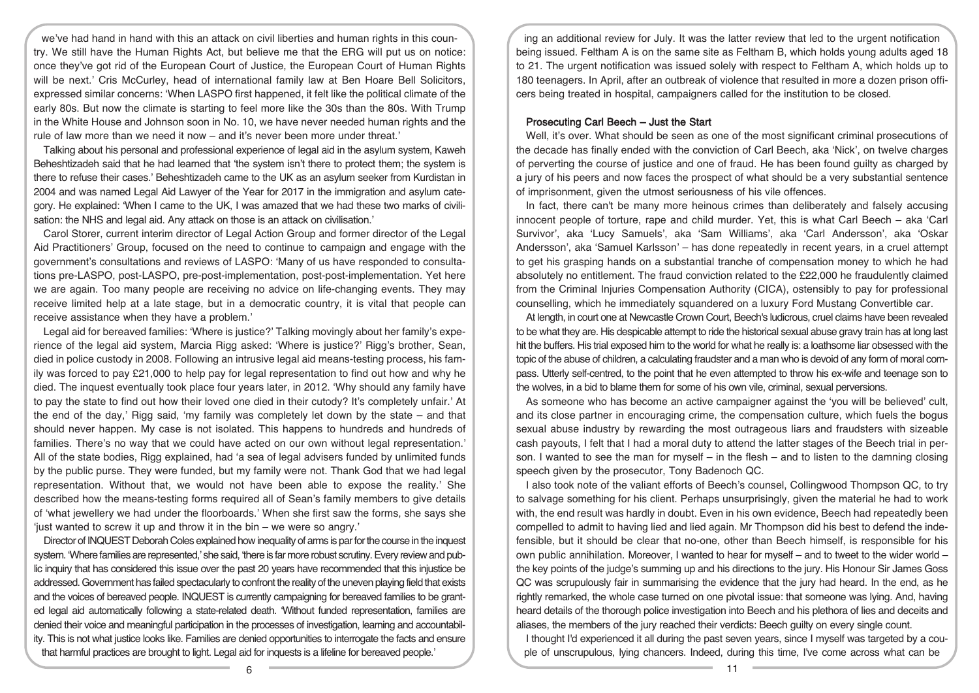we've had hand in hand with this an attack on civil liberties and human rights in this country. We still have the Human Rights Act, but believe me that the ERG will put us on notice: once they've got rid of the European Court of Justice, the European Court of Human Rights will be next.' Cris McCurley, head of international family law at Ben Hoare Bell Solicitors, expressed similar concerns: 'When LASPO first happened, it felt like the political climate of the early 80s. But now the climate is starting to feel more like the 30s than the 80s. With Trump in the White House and Johnson soon in No. 10, we have never needed human rights and the rule of law more than we need it now – and it's never been more under threat.'

Talking about his personal and professional experience of legal aid in the asylum system, Kaweh Beheshtizadeh said that he had learned that 'the system isn't there to protect them; the system is there to refuse their cases.' Beheshtizadeh came to the UK as an asylum seeker from Kurdistan in 2004 and was named Legal Aid Lawyer of the Year for 2017 in the immigration and asylum category. He explained: 'When I came to the UK, I was amazed that we had these two marks of civilisation: the NHS and legal aid. Any attack on those is an attack on civilisation.'

Carol Storer, current interim director of Legal Action Group and former director of the Legal Aid Practitioners' Group, focused on the need to continue to campaign and engage with the government's consultations and reviews of LASPO: 'Many of us have responded to consultations pre-LASPO, post-LASPO, pre-post-implementation, post-post-implementation. Yet here we are again. Too many people are receiving no advice on life-changing events. They may receive limited help at a late stage, but in a democratic country, it is vital that people can receive assistance when they have a problem.'

Legal aid for bereaved families: 'Where is justice?' Talking movingly about her family's experience of the legal aid system, Marcia Rigg asked: 'Where is justice?' Rigg's brother, Sean, died in police custody in 2008. Following an intrusive legal aid means-testing process, his family was forced to pay £21,000 to help pay for legal representation to find out how and why he died. The inquest eventually took place four years later, in 2012. 'Why should any family have to pay the state to find out how their loved one died in their cutody? It's completely unfair.' At the end of the day,' Rigg said, 'my family was completely let down by the state – and that should never happen. My case is not isolated. This happens to hundreds and hundreds of families. There's no way that we could have acted on our own without legal representation.' All of the state bodies, Rigg explained, had 'a sea of legal advisers funded by unlimited funds by the public purse. They were funded, but my family were not. Thank God that we had legal representation. Without that, we would not have been able to expose the reality.' She described how the means-testing forms required all of Sean's family members to give details of 'what jewellery we had under the floorboards.' When she first saw the forms, she says she 'just wanted to screw it up and throw it in the bin – we were so angry.'

Director of INQUEST Deborah Coles explained how inequality of arms is par for the course in the inquest system. 'Where families are represented,' she said, 'there is far more robust scrutiny. Every review and public inquiry that has considered this issue over the past 20 years have recommended that this injustice be addressed.Government has failed spectacularly to confront the reality of the uneven playing field that exists and the voices of bereaved people. INQUEST is currently campaigning for bereaved families to be granted legal aid automatically following a state-related death. 'Without funded representation, families are denied their voice and meaningful participation in the processes of investigation, learning and accountability. This is not what justice looks like. Families are denied opportunities to interrogate the facts and ensure that harmful practices are brought to light. Legal aid for inquests is a lifeline for bereaved people.'

ing an additional review for July. It was the latter review that led to the urgent notification being issued. Feltham A is on the same site as Feltham B, which holds young adults aged 18 to 21. The urgent notification was issued solely with respect to Feltham A, which holds up to 180 teenagers. In April, after an outbreak of violence that resulted in more a dozen prison officers being treated in hospital, campaigners called for the institution to be closed.

## Prosecuting Carl Beech – Just the Start

Well, it's over. What should be seen as one of the most significant criminal prosecutions of the decade has finally ended with the conviction of Carl Beech, aka 'Nick', on twelve charges of perverting the course of justice and one of fraud. He has been found guilty as charged by a jury of his peers and now faces the prospect of what should be a very substantial sentence of imprisonment, given the utmost seriousness of his vile offences.

In fact, there can't be many more heinous crimes than deliberately and falsely accusing innocent people of torture, rape and child murder. Yet, this is what Carl Beech – aka 'Carl Survivor', aka 'Lucy Samuels', aka 'Sam Williams', aka 'Carl Andersson', aka 'Oskar Andersson', aka 'Samuel Karlsson' – has done repeatedly in recent years, in a cruel attempt to get his grasping hands on a substantial tranche of compensation money to which he had absolutely no entitlement. The fraud conviction related to the £22,000 he fraudulently claimed from the Criminal Injuries Compensation Authority (CICA), ostensibly to pay for professional counselling, which he immediately squandered on a luxury Ford Mustang Convertible car.

At length, in court one at Newcastle Crown Court, Beech's ludicrous, cruel claims have been revealed to be what they are. His despicable attempt to ride the historical sexual abuse gravy train has at long last hit the buffers. His trial exposed him to the world for what he really is: a loathsome liar obsessed with the topic of the abuse of children, a calculating fraudster and a man who is devoid of any form of moral compass. Utterly self-centred, to the point that he even attempted to throw his ex-wife and teenage son to the wolves, in a bid to blame them for some of his own vile, criminal, sexual perversions.

As someone who has become an active campaigner against the 'you will be believed' cult, and its close partner in encouraging crime, the compensation culture, which fuels the bogus sexual abuse industry by rewarding the most outrageous liars and fraudsters with sizeable cash payouts, I felt that I had a moral duty to attend the latter stages of the Beech trial in person. I wanted to see the man for myself – in the flesh – and to listen to the damning closing speech given by the prosecutor, Tony Badenoch QC.

I also took note of the valiant efforts of Beech's counsel, Collingwood Thompson QC, to try to salvage something for his client. Perhaps unsurprisingly, given the material he had to work with, the end result was hardly in doubt. Even in his own evidence, Beech had repeatedly been compelled to admit to having lied and lied again. Mr Thompson did his best to defend the indefensible, but it should be clear that no-one, other than Beech himself, is responsible for his own public annihilation. Moreover, I wanted to hear for myself – and to tweet to the wider world – the key points of the judge's summing up and his directions to the jury. His Honour Sir James Goss QC was scrupulously fair in summarising the evidence that the jury had heard. In the end, as he rightly remarked, the whole case turned on one pivotal issue: that someone was lying. And, having heard details of the thorough police investigation into Beech and his plethora of lies and deceits and aliases, the members of the jury reached their verdicts: Beech guilty on every single count.

I thought I'd experienced it all during the past seven years, since I myself was targeted by a couple of unscrupulous, lying chancers. Indeed, during this time, I've come across what can be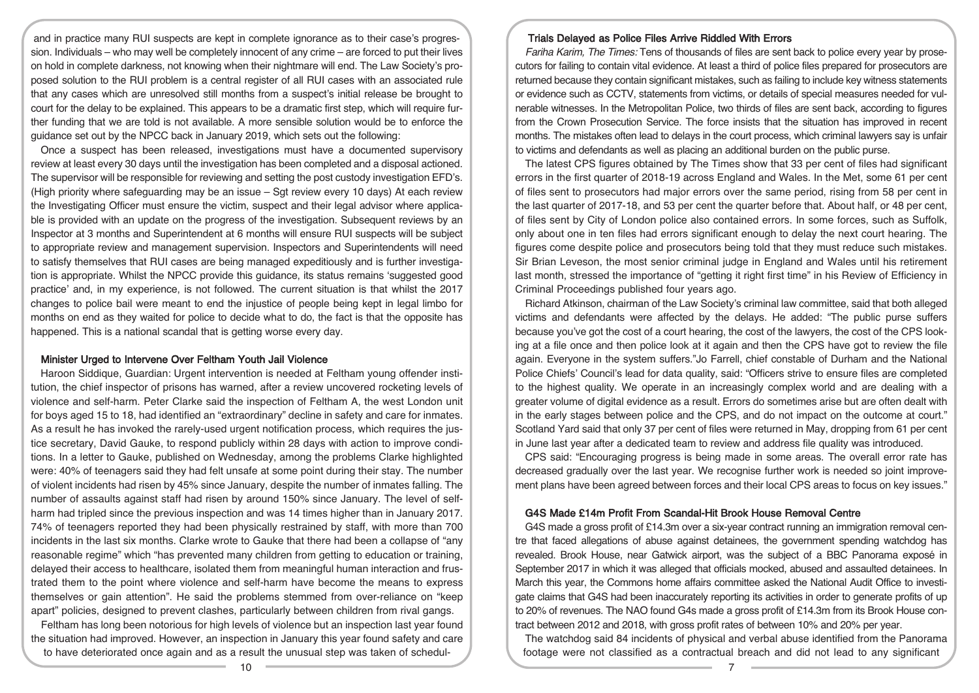and in practice many RUI suspects are kept in complete ignorance as to their case's progression. Individuals – who may well be completely innocent of any crime – are forced to put their lives on hold in complete darkness, not knowing when their nightmare will end. The Law Society's proposed solution to the RUI problem is a central register of all RUI cases with an associated rule that any cases which are unresolved still months from a suspect's initial release be brought to court for the delay to be explained. This appears to be a dramatic first step, which will require further funding that we are told is not available. A more sensible solution would be to enforce the guidance set out by the NPCC back in January 2019, which sets out the following:

Once a suspect has been released, investigations must have a documented supervisory review at least every 30 days until the investigation has been completed and a disposal actioned. The supervisor will be responsible for reviewing and setting the post custody investigation EFD's. (High priority where safeguarding may be an issue – Sgt review every 10 days) At each review the Investigating Officer must ensure the victim, suspect and their legal advisor where applicable is provided with an update on the progress of the investigation. Subsequent reviews by an Inspector at 3 months and Superintendent at 6 months will ensure RUI suspects will be subject to appropriate review and management supervision. Inspectors and Superintendents will need to satisfy themselves that RUI cases are being managed expeditiously and is further investigation is appropriate. Whilst the NPCC provide this guidance, its status remains 'suggested good practice' and, in my experience, is not followed. The current situation is that whilst the 2017 changes to police bail were meant to end the injustice of people being kept in legal limbo for months on end as they waited for police to decide what to do, the fact is that the opposite has happened. This is a national scandal that is getting worse every day.

# Minister Urged to Intervene Over Feltham Youth Jail Violence

Haroon Siddique, Guardian: Urgent intervention is needed at Feltham young offender institution, the chief inspector of prisons has warned, after a review uncovered rocketing levels of violence and self-harm. Peter Clarke said the inspection of Feltham A, the west London unit for boys aged 15 to 18, had identified an "extraordinary" decline in safety and care for inmates. As a result he has invoked the rarely-used urgent notification process, which requires the justice secretary, David Gauke, to respond publicly within 28 days with action to improve conditions. In a letter to Gauke, published on Wednesday, among the problems Clarke highlighted were: 40% of teenagers said they had felt unsafe at some point during their stay. The number of violent incidents had risen by 45% since January, despite the number of inmates falling. The number of assaults against staff had risen by around 150% since January. The level of selfharm had tripled since the previous inspection and was 14 times higher than in January 2017. 74% of teenagers reported they had been physically restrained by staff, with more than 700 incidents in the last six months. Clarke wrote to Gauke that there had been a collapse of "any reasonable regime" which "has prevented many children from getting to education or training, delayed their access to healthcare, isolated them from meaningful human interaction and frustrated them to the point where violence and self-harm have become the means to express themselves or gain attention". He said the problems stemmed from over-reliance on "keep apart" policies, designed to prevent clashes, particularly between children from rival gangs.

Feltham has long been notorious for high levels of violence but an inspection last year found the situation had improved. However, an inspection in January this year found safety and care to have deteriorated once again and as a result the unusual step was taken of schedul-

## Trials Delayed as Police Files Arrive Riddled With Errors

Fariha Karim, The Times: Tens of thousands of files are sent back to police every year by prosecutors for failing to contain vital evidence. At least a third of police files prepared for prosecutors are returned because they contain significant mistakes, such as failing to include key witness statements or evidence such as CCTV, statements from victims, or details of special measures needed for vulnerable witnesses. In the Metropolitan Police, two thirds of files are sent back, according to figures from the Crown Prosecution Service. The force insists that the situation has improved in recent months. The mistakes often lead to delays in the court process, which criminal lawyers say is unfair to victims and defendants as well as placing an additional burden on the public purse.

The latest CPS figures obtained by The Times show that 33 per cent of files had significant errors in the first quarter of 2018-19 across England and Wales. In the Met, some 61 per cent of files sent to prosecutors had major errors over the same period, rising from 58 per cent in the last quarter of 2017-18, and 53 per cent the quarter before that. About half, or 48 per cent, of files sent by City of London police also contained errors. In some forces, such as Suffolk, only about one in ten files had errors significant enough to delay the next court hearing. The figures come despite police and prosecutors being told that they must reduce such mistakes. Sir Brian Leveson, the most senior criminal judge in England and Wales until his retirement last month, stressed the importance of "getting it right first time" in his Review of Efficiency in Criminal Proceedings published four years ago.

Richard Atkinson, chairman of the Law Society's criminal law committee, said that both alleged victims and defendants were affected by the delays. He added: "The public purse suffers because you've got the cost of a court hearing, the cost of the lawyers, the cost of the CPS looking at a file once and then police look at it again and then the CPS have got to review the file again. Everyone in the system suffers."Jo Farrell, chief constable of Durham and the National Police Chiefs' Council's lead for data quality, said: "Officers strive to ensure files are completed to the highest quality. We operate in an increasingly complex world and are dealing with a greater volume of digital evidence as a result. Errors do sometimes arise but are often dealt with in the early stages between police and the CPS, and do not impact on the outcome at court." Scotland Yard said that only 37 per cent of files were returned in May, dropping from 61 per cent in June last year after a dedicated team to review and address file quality was introduced.

CPS said: "Encouraging progress is being made in some areas. The overall error rate has decreased gradually over the last year. We recognise further work is needed so joint improvement plans have been agreed between forces and their local CPS areas to focus on key issues."

#### G4S Made £14m Profit From Scandal-Hit Brook House Removal Centre

G4S made a gross profit of £14.3m over a six-year contract running an immigration removal centre that faced allegations of abuse against detainees, the government spending watchdog has revealed. Brook House, near Gatwick airport, was the subject of a BBC Panorama exposé in September 2017 in which it was alleged that officials mocked, abused and assaulted detainees. In March this year, the Commons home affairs committee asked the National Audit Office to investigate claims that G4S had been inaccurately reporting its activities in order to generate profits of up to 20% of revenues. The NAO found G4s made a gross profit of £14.3m from its Brook House contract between 2012 and 2018, with gross profit rates of between 10% and 20% per year.

The watchdog said 84 incidents of physical and verbal abuse identified from the Panorama footage were not classified as a contractual breach and did not lead to any significant